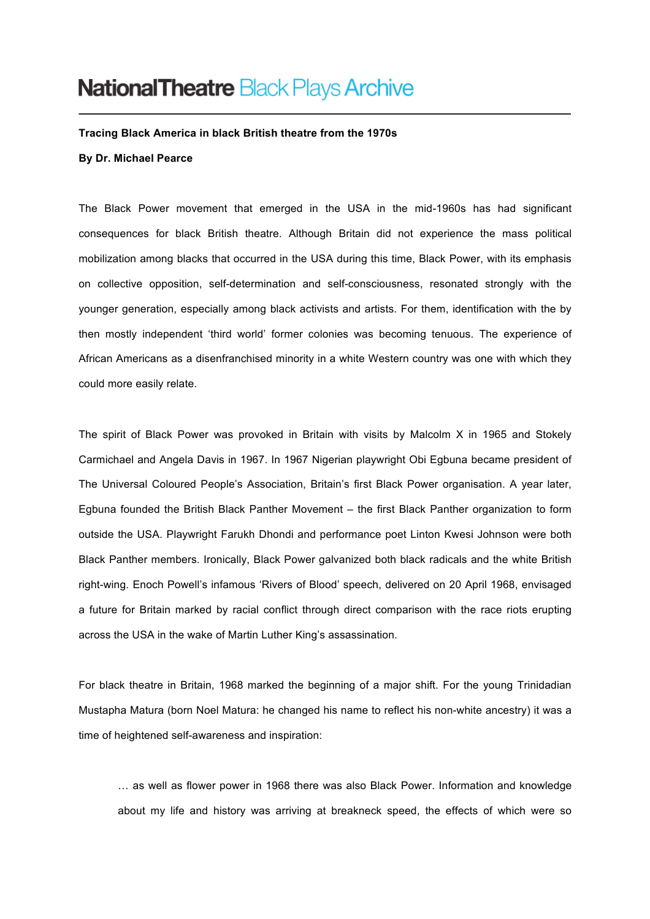## **National Theatre Black Plays Archive**

**Tracing Black America in black British theatre from the 1970s**

## **By Dr. Michael Pearce**

The Black Power movement that emerged in the USA in the mid-1960s has had significant consequences for black British theatre. Although Britain did not experience the mass political mobilization among blacks that occurred in the USA during this time, Black Power, with its emphasis on collective opposition, self-determination and self-consciousness, resonated strongly with the younger generation, especially among black activists and artists. For them, identification with the by then mostly independent 'third world' former colonies was becoming tenuous. The experience of African Americans as a disenfranchised minority in a white Western country was one with which they could more easily relate.

The spirit of Black Power was provoked in Britain with visits by Malcolm X in 1965 and Stokely Carmichael and Angela Davis in 1967. In 1967 Nigerian playwright Obi Egbuna became president of The Universal Coloured People's Association, Britain's first Black Power organisation. A year later, Egbuna founded the British Black Panther Movement – the first Black Panther organization to form outside the USA. Playwright Farukh Dhondi and performance poet Linton Kwesi Johnson were both Black Panther members. Ironically, Black Power galvanized both black radicals and the white British right-wing. Enoch Powell's infamous 'Rivers of Blood' speech, delivered on 20 April 1968, envisaged a future for Britain marked by racial conflict through direct comparison with the race riots erupting across the USA in the wake of Martin Luther King's assassination.

For black theatre in Britain, 1968 marked the beginning of a major shift. For the young Trinidadian Mustapha Matura (born Noel Matura: he changed his name to reflect his non-white ancestry) it was a time of heightened self-awareness and inspiration:

… as well as flower power in 1968 there was also Black Power. Information and knowledge about my life and history was arriving at breakneck speed, the effects of which were so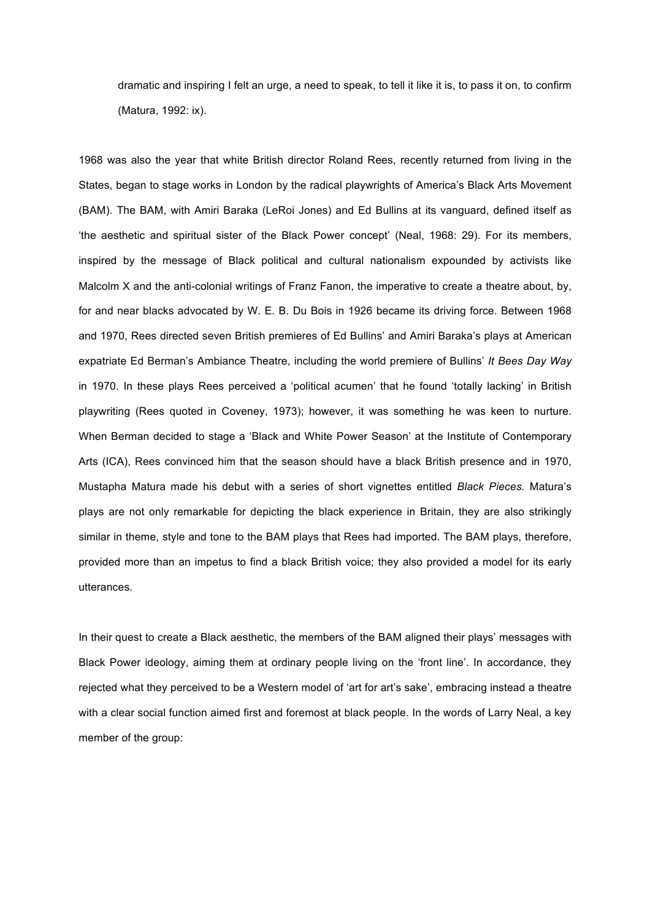dramatic and inspiring I felt an urge, a need to speak, to tell it like it is, to pass it on, to confirm (Matura, 1992: ix).

1968 was also the year that white British director Roland Rees, recently returned from living in the States, began to stage works in London by the radical playwrights of America's Black Arts Movement (BAM). The BAM, with Amiri Baraka (LeRoi Jones) and Ed Bullins at its vanguard, defined itself as 'the aesthetic and spiritual sister of the Black Power concept' (Neal, 1968: 29). For its members, inspired by the message of Black political and cultural nationalism expounded by activists like Malcolm X and the anti-colonial writings of Franz Fanon, the imperative to create a theatre about, by, for and near blacks advocated by W. E. B. Du Bois in 1926 became its driving force. Between 1968 and 1970, Rees directed seven British premieres of Ed Bullins' and Amiri Baraka's plays at American expatriate Ed Berman's Ambiance Theatre, including the world premiere of Bullins' *It Bees Day Way*  in 1970. In these plays Rees perceived a 'political acumen' that he found 'totally lacking' in British playwriting (Rees quoted in Coveney, 1973); however, it was something he was keen to nurture. When Berman decided to stage a 'Black and White Power Season' at the Institute of Contemporary Arts (ICA), Rees convinced him that the season should have a black British presence and in 1970, Mustapha Matura made his debut with a series of short vignettes entitled *Black Pieces.* Matura's plays are not only remarkable for depicting the black experience in Britain, they are also strikingly similar in theme, style and tone to the BAM plays that Rees had imported. The BAM plays, therefore, provided more than an impetus to find a black British voice; they also provided a model for its early utterances.

In their quest to create a Black aesthetic, the members of the BAM aligned their plays' messages with Black Power ideology, aiming them at ordinary people living on the 'front line'. In accordance, they rejected what they perceived to be a Western model of 'art for art's sake', embracing instead a theatre with a clear social function aimed first and foremost at black people. In the words of Larry Neal, a key member of the group: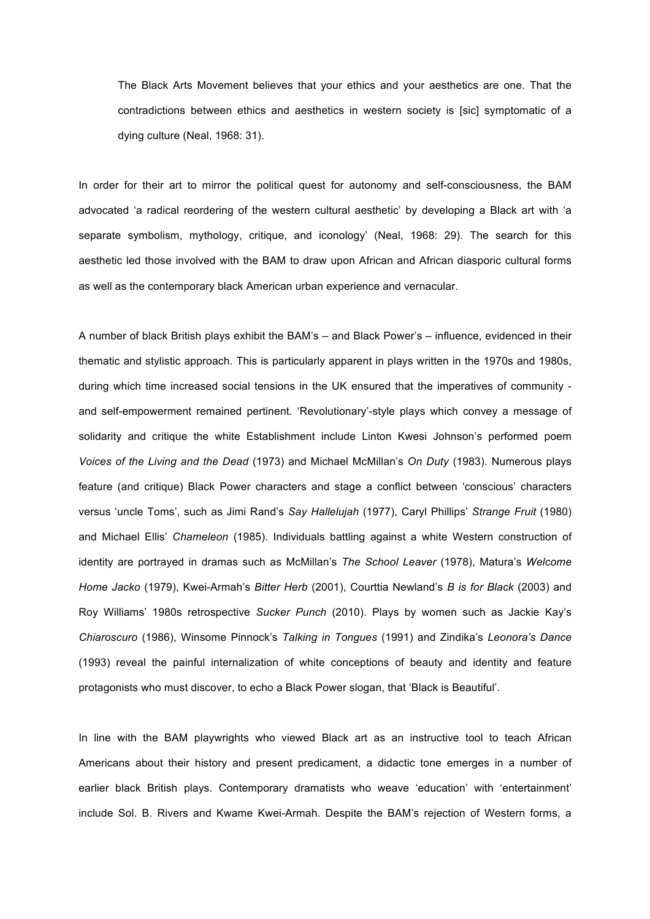The Black Arts Movement believes that your ethics and your aesthetics are one. That the contradictions between ethics and aesthetics in western society is [sic] symptomatic of a dying culture (Neal, 1968: 31).

In order for their art to mirror the political quest for autonomy and self-consciousness, the BAM advocated 'a radical reordering of the western cultural aesthetic' by developing a Black art with 'a separate symbolism, mythology, critique, and iconology' (Neal, 1968: 29). The search for this aesthetic led those involved with the BAM to draw upon African and African diasporic cultural forms as well as the contemporary black American urban experience and vernacular.

A number of black British plays exhibit the BAM's – and Black Power's – influence, evidenced in their thematic and stylistic approach. This is particularly apparent in plays written in the 1970s and 1980s, during which time increased social tensions in the UK ensured that the imperatives of community and self-empowerment remained pertinent. 'Revolutionary'-style plays which convey a message of solidarity and critique the white Establishment include Linton Kwesi Johnson's performed poem *Voices of the Living and the Dead* (1973) and Michael McMillan's *On Duty* (1983). Numerous plays feature (and critique) Black Power characters and stage a conflict between 'conscious' characters versus 'uncle Toms', such as Jimi Rand's *Say Hallelujah* (1977), Caryl Phillips' *Strange Fruit* (1980) and Michael Ellis' *Chameleon* (1985). Individuals battling against a white Western construction of identity are portrayed in dramas such as McMillan's *The School Leaver* (1978), Matura's *Welcome Home Jacko* (1979), Kwei-Armah's *Bitter Herb* (2001), Courttia Newland's *B is for Black* (2003) and Roy Williams' 1980s retrospective *Sucker Punch* (2010). Plays by women such as Jackie Kay's *Chiaroscuro* (1986), Winsome Pinnock's *Talking in Tongues* (1991) and Zindika's *Leonora's Dance* (1993) reveal the painful internalization of white conceptions of beauty and identity and feature protagonists who must discover, to echo a Black Power slogan, that 'Black is Beautiful'.

In line with the BAM playwrights who viewed Black art as an instructive tool to teach African Americans about their history and present predicament, a didactic tone emerges in a number of earlier black British plays. Contemporary dramatists who weave 'education' with 'entertainment' include Sol. B. Rivers and Kwame Kwei-Armah. Despite the BAM's rejection of Western forms, a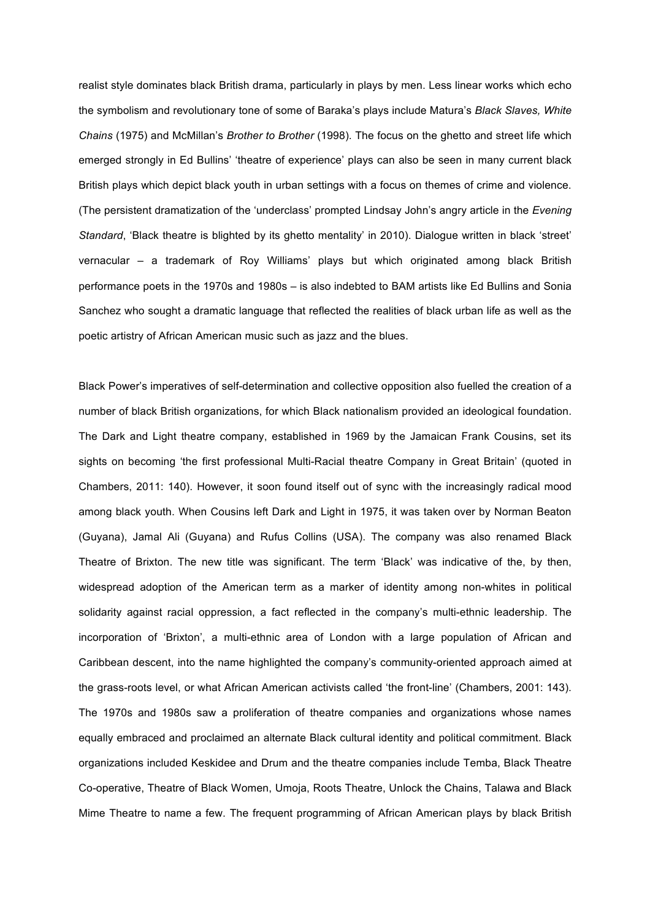realist style dominates black British drama, particularly in plays by men. Less linear works which echo the symbolism and revolutionary tone of some of Baraka's plays include Matura's *Black Slaves, White Chains* (1975) and McMillan's *Brother to Brother* (1998). The focus on the ghetto and street life which emerged strongly in Ed Bullins' 'theatre of experience' plays can also be seen in many current black British plays which depict black youth in urban settings with a focus on themes of crime and violence. (The persistent dramatization of the 'underclass' prompted Lindsay John's angry article in the *Evening Standard*, 'Black theatre is blighted by its ghetto mentality' in 2010). Dialogue written in black 'street' vernacular – a trademark of Roy Williams' plays but which originated among black British performance poets in the 1970s and 1980s – is also indebted to BAM artists like Ed Bullins and Sonia Sanchez who sought a dramatic language that reflected the realities of black urban life as well as the poetic artistry of African American music such as jazz and the blues.

Black Power's imperatives of self-determination and collective opposition also fuelled the creation of a number of black British organizations, for which Black nationalism provided an ideological foundation. The Dark and Light theatre company, established in 1969 by the Jamaican Frank Cousins, set its sights on becoming 'the first professional Multi-Racial theatre Company in Great Britain' (quoted in Chambers, 2011: 140). However, it soon found itself out of sync with the increasingly radical mood among black youth. When Cousins left Dark and Light in 1975, it was taken over by Norman Beaton (Guyana), Jamal Ali (Guyana) and Rufus Collins (USA). The company was also renamed Black Theatre of Brixton. The new title was significant. The term 'Black' was indicative of the, by then, widespread adoption of the American term as a marker of identity among non-whites in political solidarity against racial oppression, a fact reflected in the company's multi-ethnic leadership. The incorporation of 'Brixton', a multi-ethnic area of London with a large population of African and Caribbean descent, into the name highlighted the company's community-oriented approach aimed at the grass-roots level, or what African American activists called 'the front-line' (Chambers, 2001: 143). The 1970s and 1980s saw a proliferation of theatre companies and organizations whose names equally embraced and proclaimed an alternate Black cultural identity and political commitment. Black organizations included Keskidee and Drum and the theatre companies include Temba, Black Theatre Co-operative, Theatre of Black Women, Umoja, Roots Theatre, Unlock the Chains, Talawa and Black Mime Theatre to name a few. The frequent programming of African American plays by black British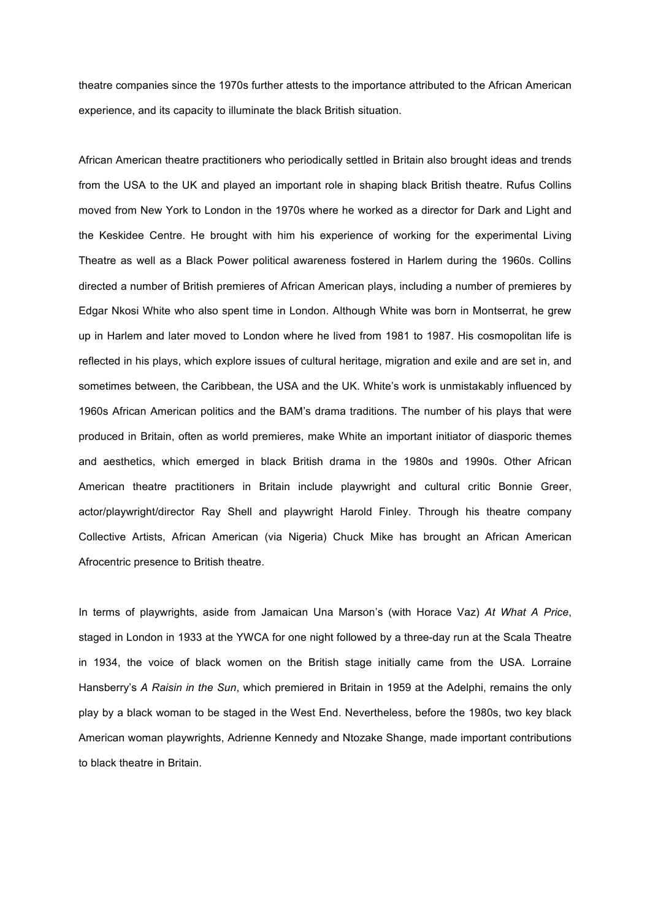theatre companies since the 1970s further attests to the importance attributed to the African American experience, and its capacity to illuminate the black British situation.

African American theatre practitioners who periodically settled in Britain also brought ideas and trends from the USA to the UK and played an important role in shaping black British theatre. Rufus Collins moved from New York to London in the 1970s where he worked as a director for Dark and Light and the Keskidee Centre. He brought with him his experience of working for the experimental Living Theatre as well as a Black Power political awareness fostered in Harlem during the 1960s. Collins directed a number of British premieres of African American plays, including a number of premieres by Edgar Nkosi White who also spent time in London. Although White was born in Montserrat, he grew up in Harlem and later moved to London where he lived from 1981 to 1987. His cosmopolitan life is reflected in his plays, which explore issues of cultural heritage, migration and exile and are set in, and sometimes between, the Caribbean, the USA and the UK. White's work is unmistakably influenced by 1960s African American politics and the BAM's drama traditions. The number of his plays that were produced in Britain, often as world premieres, make White an important initiator of diasporic themes and aesthetics, which emerged in black British drama in the 1980s and 1990s. Other African American theatre practitioners in Britain include playwright and cultural critic Bonnie Greer, actor/playwright/director Ray Shell and playwright Harold Finley. Through his theatre company Collective Artists, African American (via Nigeria) Chuck Mike has brought an African American Afrocentric presence to British theatre.

In terms of playwrights, aside from Jamaican Una Marson's (with Horace Vaz) *At What A Price*, staged in London in 1933 at the YWCA for one night followed by a three-day run at the Scala Theatre in 1934, the voice of black women on the British stage initially came from the USA. Lorraine Hansberry's *A Raisin in the Sun*, which premiered in Britain in 1959 at the Adelphi, remains the only play by a black woman to be staged in the West End. Nevertheless, before the 1980s, two key black American woman playwrights, Adrienne Kennedy and Ntozake Shange, made important contributions to black theatre in Britain.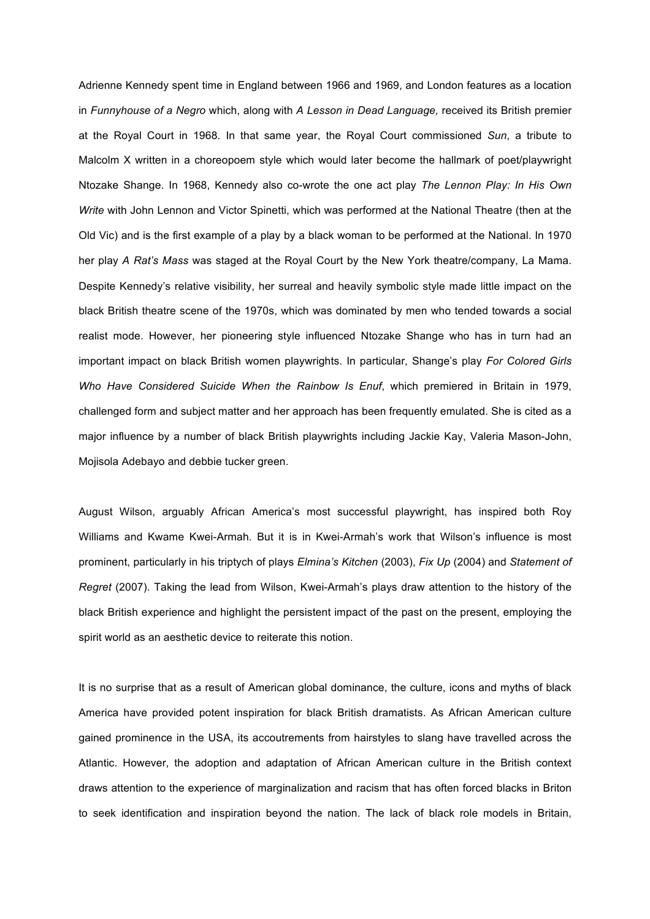Adrienne Kennedy spent time in England between 1966 and 1969, and London features as a location in *Funnyhouse of a Negro* which, along with *A Lesson in Dead Language,* received its British premier at the Royal Court in 1968. In that same year, the Royal Court commissioned *Sun*, a tribute to Malcolm X written in a choreopoem style which would later become the hallmark of poet/playwright Ntozake Shange. In 1968, Kennedy also co-wrote the one act play *The Lennon Play: In His Own Write* with John Lennon and Victor Spinetti, which was performed at the National Theatre (then at the Old Vic) and is the first example of a play by a black woman to be performed at the National. In 1970 her play *A Rat's Mass* was staged at the Royal Court by the New York theatre/company, La Mama. Despite Kennedy's relative visibility, her surreal and heavily symbolic style made little impact on the black British theatre scene of the 1970s, which was dominated by men who tended towards a social realist mode. However, her pioneering style influenced Ntozake Shange who has in turn had an important impact on black British women playwrights. In particular, Shange's play *For Colored Girls Who Have Considered Suicide When the Rainbow Is Enuf*, which premiered in Britain in 1979, challenged form and subject matter and her approach has been frequently emulated. She is cited as a major influence by a number of black British playwrights including Jackie Kay, Valeria Mason-John, Mojisola Adebayo and debbie tucker green.

August Wilson, arguably African America's most successful playwright, has inspired both Roy Williams and Kwame Kwei-Armah. But it is in Kwei-Armah's work that Wilson's influence is most prominent, particularly in his triptych of plays *Elmina's Kitchen* (2003), *Fix Up* (2004) and *Statement of Regret* (2007). Taking the lead from Wilson, Kwei-Armah's plays draw attention to the history of the black British experience and highlight the persistent impact of the past on the present, employing the spirit world as an aesthetic device to reiterate this notion.

It is no surprise that as a result of American global dominance, the culture, icons and myths of black America have provided potent inspiration for black British dramatists. As African American culture gained prominence in the USA, its accoutrements from hairstyles to slang have travelled across the Atlantic. However, the adoption and adaptation of African American culture in the British context draws attention to the experience of marginalization and racism that has often forced blacks in Briton to seek identification and inspiration beyond the nation. The lack of black role models in Britain,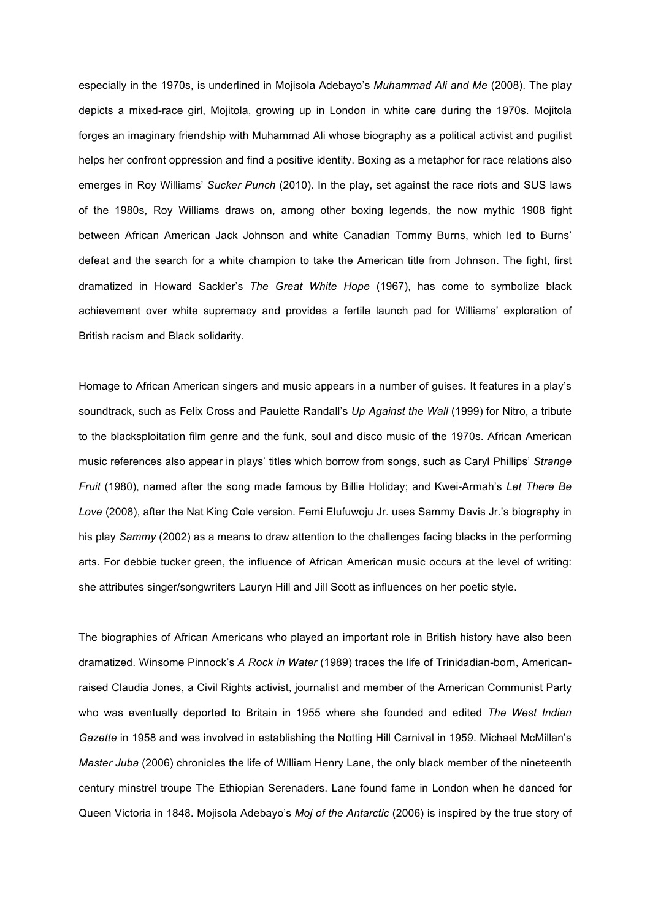especially in the 1970s, is underlined in Mojisola Adebayo's *Muhammad Ali and Me* (2008). The play depicts a mixed-race girl, Mojitola, growing up in London in white care during the 1970s. Mojitola forges an imaginary friendship with Muhammad Ali whose biography as a political activist and pugilist helps her confront oppression and find a positive identity. Boxing as a metaphor for race relations also emerges in Roy Williams' *Sucker Punch* (2010). In the play, set against the race riots and SUS laws of the 1980s, Roy Williams draws on, among other boxing legends, the now mythic 1908 fight between African American Jack Johnson and white Canadian Tommy Burns, which led to Burns' defeat and the search for a white champion to take the American title from Johnson. The fight, first dramatized in Howard Sackler's *The Great White Hope* (1967), has come to symbolize black achievement over white supremacy and provides a fertile launch pad for Williams' exploration of British racism and Black solidarity.

Homage to African American singers and music appears in a number of guises. It features in a play's soundtrack, such as Felix Cross and Paulette Randall's *Up Against the Wall* (1999) for Nitro, a tribute to the blacksploitation film genre and the funk, soul and disco music of the 1970s. African American music references also appear in plays' titles which borrow from songs, such as Caryl Phillips' *Strange Fruit* (1980), named after the song made famous by Billie Holiday; and Kwei-Armah's *Let There Be Love* (2008), after the Nat King Cole version. Femi Elufuwoju Jr. uses Sammy Davis Jr.'s biography in his play *Sammy* (2002) as a means to draw attention to the challenges facing blacks in the performing arts. For debbie tucker green, the influence of African American music occurs at the level of writing: she attributes singer/songwriters Lauryn Hill and Jill Scott as influences on her poetic style.

The biographies of African Americans who played an important role in British history have also been dramatized. Winsome Pinnock's *A Rock in Water* (1989) traces the life of Trinidadian-born, Americanraised Claudia Jones, a Civil Rights activist, journalist and member of the American Communist Party who was eventually deported to Britain in 1955 where she founded and edited *The West Indian Gazette* in 1958 and was involved in establishing the Notting Hill Carnival in 1959. Michael McMillan's *Master Juba* (2006) chronicles the life of William Henry Lane, the only black member of the nineteenth century minstrel troupe The Ethiopian Serenaders. Lane found fame in London when he danced for Queen Victoria in 1848. Mojisola Adebayo's *Moj of the Antarctic* (2006) is inspired by the true story of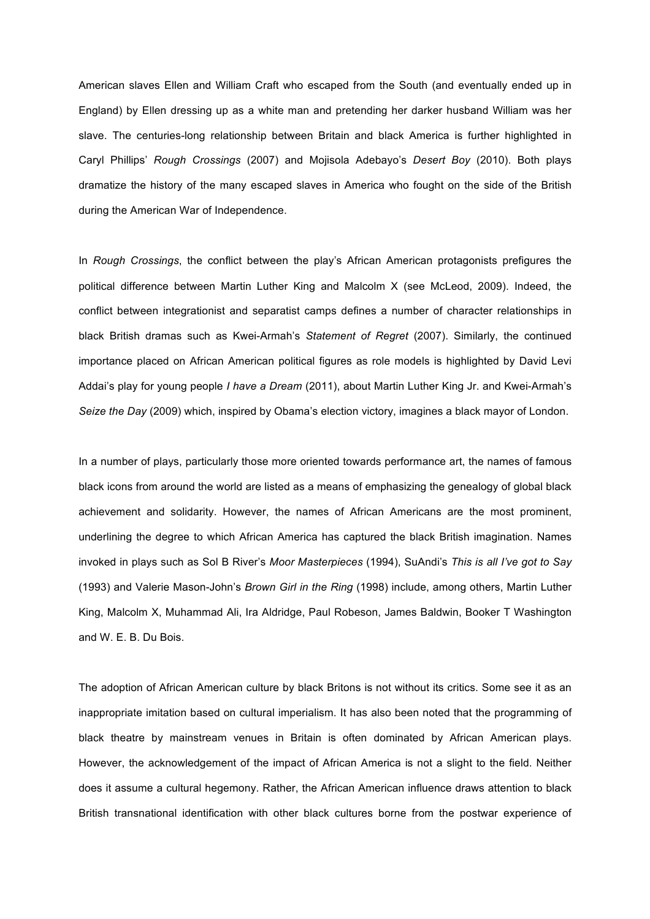American slaves Ellen and William Craft who escaped from the South (and eventually ended up in England) by Ellen dressing up as a white man and pretending her darker husband William was her slave. The centuries-long relationship between Britain and black America is further highlighted in Caryl Phillips' *Rough Crossings* (2007) and Mojisola Adebayo's *Desert Boy* (2010). Both plays dramatize the history of the many escaped slaves in America who fought on the side of the British during the American War of Independence.

In *Rough Crossings*, the conflict between the play's African American protagonists prefigures the political difference between Martin Luther King and Malcolm X (see McLeod, 2009). Indeed, the conflict between integrationist and separatist camps defines a number of character relationships in black British dramas such as Kwei-Armah's *Statement of Regret* (2007). Similarly, the continued importance placed on African American political figures as role models is highlighted by David Levi Addai's play for young people *I have a Dream* (2011), about Martin Luther King Jr. and Kwei-Armah's *Seize the Day* (2009) which, inspired by Obama's election victory, imagines a black mayor of London.

In a number of plays, particularly those more oriented towards performance art, the names of famous black icons from around the world are listed as a means of emphasizing the genealogy of global black achievement and solidarity. However, the names of African Americans are the most prominent, underlining the degree to which African America has captured the black British imagination. Names invoked in plays such as Sol B River's *Moor Masterpieces* (1994), SuAndi's *This is all I've got to Say*  (1993) and Valerie Mason-John's *Brown Girl in the Ring* (1998) include, among others, Martin Luther King, Malcolm X, Muhammad Ali, Ira Aldridge, Paul Robeson, James Baldwin, Booker T Washington and W. E. B. Du Bois.

The adoption of African American culture by black Britons is not without its critics. Some see it as an inappropriate imitation based on cultural imperialism. It has also been noted that the programming of black theatre by mainstream venues in Britain is often dominated by African American plays. However, the acknowledgement of the impact of African America is not a slight to the field. Neither does it assume a cultural hegemony. Rather, the African American influence draws attention to black British transnational identification with other black cultures borne from the postwar experience of